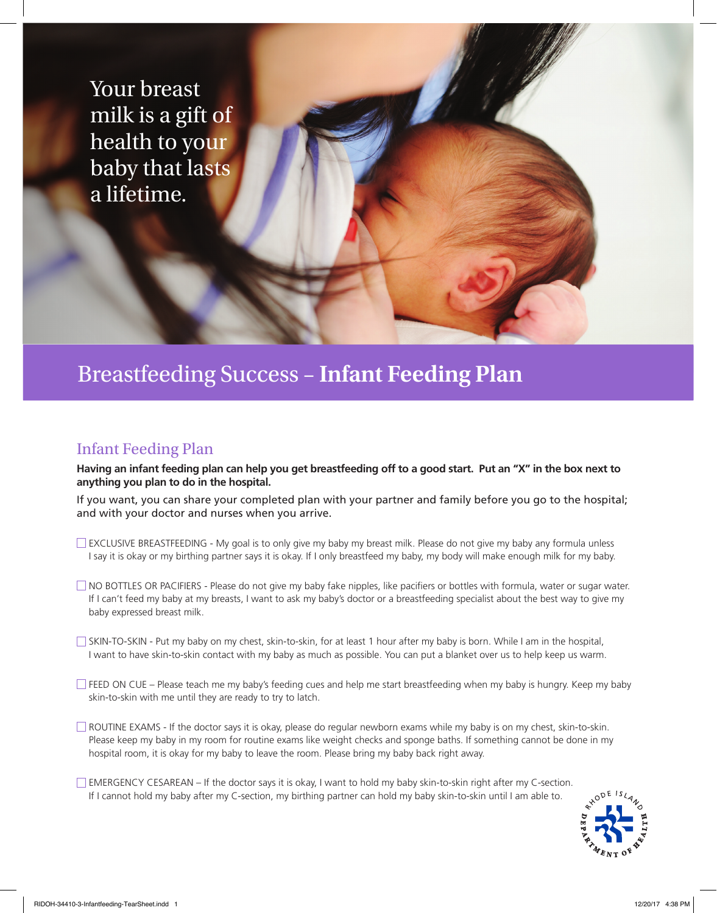Your breast milk is a gift of health to your baby that lasts a lifetime.

### Breastfeeding Success – **Infant Feeding Plan**

#### Infant Feeding Plan

**Having an infant feeding plan can help you get breastfeeding off to a good start. Put an "X" in the box next to anything you plan to do in the hospital.**

If you want, you can share your completed plan with your partner and family before you go to the hospital; and with your doctor and nurses when you arrive.

- EXCLUSIVE BREASTFEEDING My goal is to only give my baby my breast milk. Please do not give my baby any formula unless I say it is okay or my birthing partner says it is okay. If I only breastfeed my baby, my body will make enough milk for my baby.
- NO BOTTLES OR PACIFIERS Please do not give my baby fake nipples, like pacifiers or bottles with formula, water or sugar water. If I can't feed my baby at my breasts, I want to ask my baby's doctor or a breastfeeding specialist about the best way to give my baby expressed breast milk.
- $\Box$  SKIN-TO-SKIN Put my baby on my chest, skin-to-skin, for at least 1 hour after my baby is born. While I am in the hospital, I want to have skin-to-skin contact with my baby as much as possible. You can put a blanket over us to help keep us warm.
- $\Box$  FEED ON CUE Please teach me my baby's feeding cues and help me start breastfeeding when my baby is hungry. Keep my baby skin-to-skin with me until they are ready to try to latch.
- ROUTINE EXAMS If the doctor says it is okay, please do regular newborn exams while my baby is on my chest, skin-to-skin. Please keep my baby in my room for routine exams like weight checks and sponge baths. If something cannot be done in my hospital room, it is okay for my baby to leave the room. Please bring my baby back right away.
- EMERGENCY CESAREAN If the doctor says it is okay, I want to hold my baby skin-to-skin right after my C-section. If I cannot hold my baby after my C-section, my birthing partner can hold my baby skin-to-skin until I am able to.